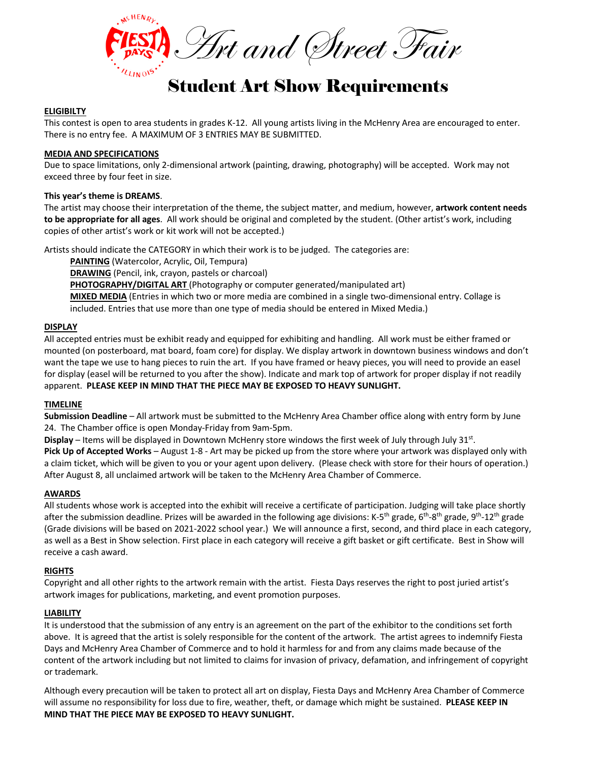

# Student Art Show Requirements

## **ELIGIBILTY**

This contest is open to area students in grades K-12. All young artists living in the McHenry Area are encouraged to enter. There is no entry fee. A MAXIMUM OF 3 ENTRIES MAY BE SUBMITTED.

#### **MEDIA AND SPECIFICATIONS**

Due to space limitations, only 2-dimensional artwork (painting, drawing, photography) will be accepted. Work may not exceed three by four feet in size.

### **This year's theme is DREAMS**.

The artist may choose their interpretation of the theme, the subject matter, and medium, however, **artwork content needs to be appropriate for all ages**. All work should be original and completed by the student. (Other artist's work, including copies of other artist's work or kit work will not be accepted.)

Artists should indicate the CATEGORY in which their work is to be judged. The categories are:

**PAINTING** (Watercolor, Acrylic, Oil, Tempura) **DRAWING** (Pencil, ink, crayon, pastels or charcoal) **PHOTOGRAPHY/DIGITAL ART** (Photography or computer generated/manipulated art) **MIXED MEDIA** (Entries in which two or more media are combined in a single two-dimensional entry. Collage is included. Entries that use more than one type of media should be entered in Mixed Media.)

### **DISPLAY**

All accepted entries must be exhibit ready and equipped for exhibiting and handling. All work must be either framed or mounted (on posterboard, mat board, foam core) for display. We display artwork in downtown business windows and don't want the tape we use to hang pieces to ruin the art. If you have framed or heavy pieces, you will need to provide an easel for display (easel will be returned to you after the show). Indicate and mark top of artwork for proper display if not readily apparent. **PLEASE KEEP IN MIND THAT THE PIECE MAY BE EXPOSED TO HEAVY SUNLIGHT.**

### **TIMELINE**

**Submission Deadline** – All artwork must be submitted to the McHenry Area Chamber office along with entry form by June 24. The Chamber office is open Monday-Friday from 9am-5pm.

**Display** – Items will be displayed in Downtown McHenry store windows the first week of July through July 31st.

**Pick Up of Accepted Works** – August 1-8 - Art may be picked up from the store where your artwork was displayed only with a claim ticket, which will be given to you or your agent upon delivery. (Please check with store for their hours of operation.) After August 8, all unclaimed artwork will be taken to the McHenry Area Chamber of Commerce.

### **AWARDS**

All students whose work is accepted into the exhibit will receive a certificate of participation. Judging will take place shortly after the submission deadline. Prizes will be awarded in the following age divisions: K-5<sup>th</sup> grade, 6<sup>th</sup>-8<sup>th</sup> grade, 9<sup>th</sup>-12<sup>th</sup> grade (Grade divisions will be based on 2021-2022 school year.) We will announce a first, second, and third place in each category, as well as a Best in Show selection. First place in each category will receive a gift basket or gift certificate. Best in Show will receive a cash award.

### **RIGHTS**

Copyright and all other rights to the artwork remain with the artist. Fiesta Days reserves the right to post juried artist's artwork images for publications, marketing, and event promotion purposes.

### **LIABILITY**

It is understood that the submission of any entry is an agreement on the part of the exhibitor to the conditions set forth above. It is agreed that the artist is solely responsible for the content of the artwork. The artist agrees to indemnify Fiesta Days and McHenry Area Chamber of Commerce and to hold it harmless for and from any claims made because of the content of the artwork including but not limited to claims for invasion of privacy, defamation, and infringement of copyright or trademark.

Although every precaution will be taken to protect all art on display, Fiesta Days and McHenry Area Chamber of Commerce will assume no responsibility for loss due to fire, weather, theft, or damage which might be sustained. **PLEASE KEEP IN MIND THAT THE PIECE MAY BE EXPOSED TO HEAVY SUNLIGHT.**